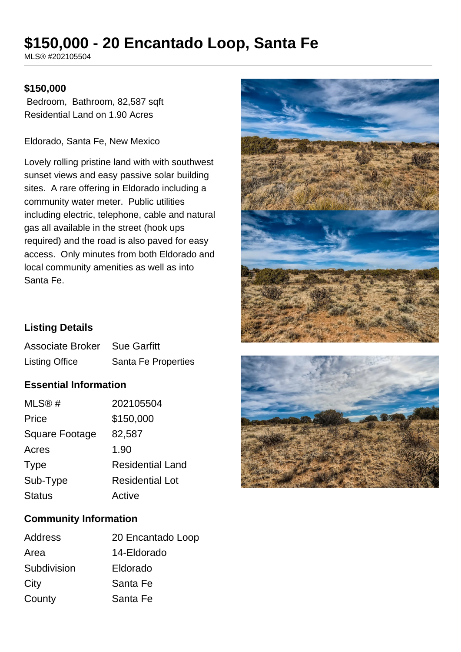# **\$150,000 - 20 Encantado Loop, Santa Fe**

MLS® #202105504

#### **\$150,000**

 Bedroom, Bathroom, 82,587 sqft Residential Land on 1.90 Acres

Eldorado, Santa Fe, New Mexico

Lovely rolling pristine land with with southwest sunset views and easy passive solar building sites. A rare offering in Eldorado including a community water meter. Public utilities including electric, telephone, cable and natural gas all available in the street (hook ups required) and the road is also paved for easy access. Only minutes from both Eldorado and local community amenities as well as into Santa Fe.



# **Listing Details**

| <b>Associate Broker</b> Sue Garfitt |                     |
|-------------------------------------|---------------------|
| <b>Listing Office</b>               | Santa Fe Properties |

# **Essential Information**

| MLS@#          | 202105504               |
|----------------|-------------------------|
| Price          | \$150,000               |
| Square Footage | 82,587                  |
| Acres          | 1.90                    |
| <b>Type</b>    | <b>Residential Land</b> |
| Sub-Type       | <b>Residential Lot</b>  |
| <b>Status</b>  | Active                  |



#### **Community Information**

| Address     | 20 Encantado Loop |
|-------------|-------------------|
| Area        | 14-Eldorado       |
| Subdivision | Eldorado          |
| City        | Santa Fe          |
| County      | Santa Fe          |